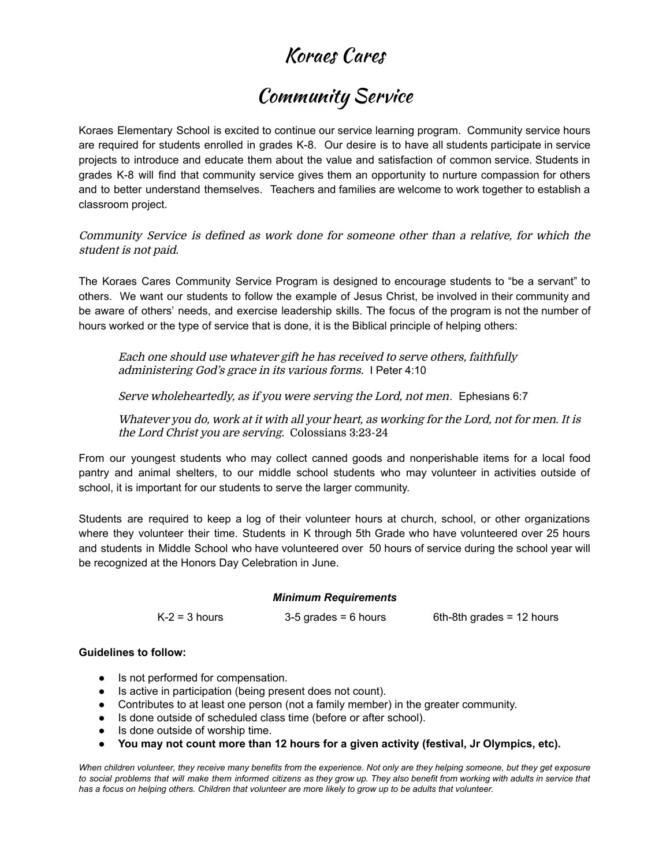## Koraes Cares

### Community Service

Koraes Elementary School is excited to continue our service learning program. Community service hours are required for students enrolled in grades K-8. Our desire is to have all students participate in service projects to introduce and educate them about the value and satisfaction of common service. Students in grades K-8 will find that community service gives them an opportunity to nurture compassion for others and to better understand themselves. Teachers and families are welcome to work together to establish a classroom project.

Community Service is defined as work done for someone other than <sup>a</sup> relative, for which the student is not paid.

The Koraes Cares Community Service Program is designed to encourage students to "be a servant" to others. We want our students to follow the example of Jesus Christ, be involved in their community and be aware of others' needs, and exercise leadership skills. The focus of the program is not the number of hours worked or the type of service that is done, it is the Biblical principle of helping others:

Each one should use whatever gift he has received to serve others, faithfully administering God's grace in its various forms. I Peter 4:10

Serve wholeheartedly, as if you were serving the Lord, not men*.* Ephesians 6:7

Whatever you do, work at it with all your heart, as working for the Lord, not for men. It is the Lord Christ you are serving. Colossians 3:23-24

From our youngest students who may collect canned goods and nonperishable items for a local food pantry and animal shelters, to our middle school students who may volunteer in activities outside of school, it is important for our students to serve the larger community.

Students are required to keep a log of their volunteer hours at church, school, or other organizations where they volunteer their time. Students in K through 5th Grade who have volunteered over 25 hours and students in Middle School who have volunteered over 50 hours of service during the school year will be recognized at the Honors Day Celebration in June.

#### *Minimum Requirements*

| $K-2 = 3$ hours | $3-5$ grades = 6 hours | 6th-8th grades = $12$ hours |
|-----------------|------------------------|-----------------------------|
|-----------------|------------------------|-----------------------------|

### **Guidelines to follow:**

- Is not performed for compensation.
- Is active in participation (being present does not count).
- Contributes to at least one person (not a family member) in the greater community.
- Is done outside of scheduled class time (before or after school).
- Is done outside of worship time.
- **● You may not count more than 12 hours for a given activity (festival, Jr Olympics, etc).**

When children [volunteer](https://www.ourcommunityfoodbank.org/blog/give-time-this-summer/), they receive many benefits from the experience. Not only are they helping someone, but they get exposure to social problems that will make them informed citizens as they grow up. They also benefit from working with adults in service that has a focus on helping others. Children that volunteer are more likely to grow up to be adults that volunteer.